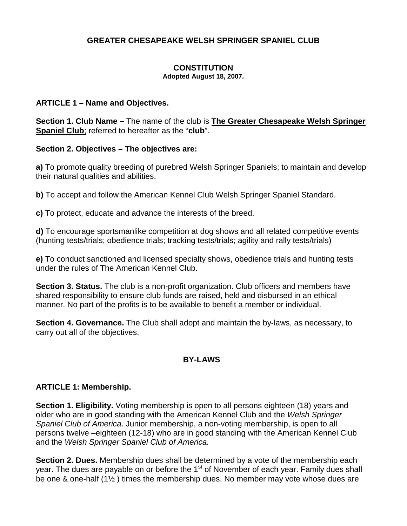## **GREATER CHESAPEAKE WELSH SPRINGER SPANIEL CLUB**

# **CONSTITUTION**

**Adopted August 18, 2007.**

#### **ARTICLE 1 – Name and Objectives.**

**Section 1. Club Name –** The name of the club is **The Greater Chesapeake Welsh Springer Spaniel Club**; referred to hereafter as the "**club**".

### **Section 2. Objectives – The objectives are:**

**a)** To promote quality breeding of purebred Welsh Springer Spaniels; to maintain and develop their natural qualities and abilities.

**b)** To accept and follow the American Kennel Club Welsh Springer Spaniel Standard.

**c)** To protect, educate and advance the interests of the breed.

**d)** To encourage sportsmanlike competition at dog shows and all related competitive events (hunting tests/trials; obedience trials; tracking tests/trials; agility and rally tests/trials)

**e)** To conduct sanctioned and licensed specialty shows, obedience trials and hunting tests under the rules of The American Kennel Club.

**Section 3. Status.** The club is a non-profit organization. Club officers and members have shared responsibility to ensure club funds are raised, held and disbursed in an ethical manner. No part of the profits is to be available to benefit a member or individual.

**Section 4. Governance.** The Club shall adopt and maintain the by-laws, as necessary, to carry out all of the objectives.

## **BY-LAWS**

### **ARTICLE 1: Membership.**

**Section 1. Eligibility.** Voting membership is open to all persons eighteen (18) years and older who are in good standing with the American Kennel Club and the *Welsh Springer Spaniel Club of America*. Junior membership, a non-voting membership, is open to all persons twelve –eighteen (12-18) who are in good standing with the American Kennel Club and the *Welsh Springer Spaniel Club of America.*

**Section 2. Dues.** Membership dues shall be determined by a vote of the membership each year. The dues are payable on or before the 1<sup>st</sup> of November of each year. Family dues shall be one & one-half (1½ ) times the membership dues. No member may vote whose dues are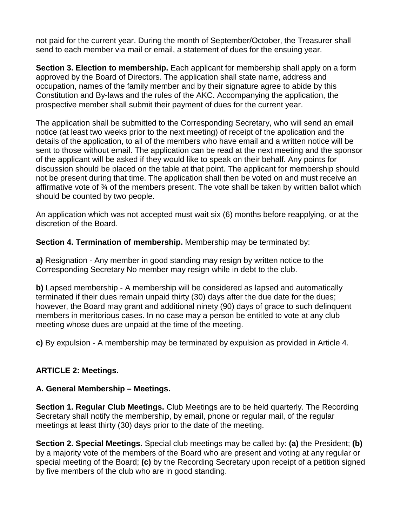not paid for the current year. During the month of September/October, the Treasurer shall send to each member via mail or email, a statement of dues for the ensuing year.

**Section 3. Election to membership.** Each applicant for membership shall apply on a form approved by the Board of Directors. The application shall state name, address and occupation, names of the family member and by their signature agree to abide by this Constitution and By-laws and the rules of the AKC. Accompanying the application, the prospective member shall submit their payment of dues for the current year.

The application shall be submitted to the Corresponding Secretary, who will send an email notice (at least two weeks prior to the next meeting) of receipt of the application and the details of the application, to all of the members who have email and a written notice will be sent to those without email. The application can be read at the next meeting and the sponsor of the applicant will be asked if they would like to speak on their behalf. Any points for discussion should be placed on the table at that point. The applicant for membership should not be present during that time. The application shall then be voted on and must receive an affirmative vote of ¾ of the members present. The vote shall be taken by written ballot which should be counted by two people.

An application which was not accepted must wait six (6) months before reapplying, or at the discretion of the Board.

**Section 4. Termination of membership.** Membership may be terminated by:

**a)** Resignation - Any member in good standing may resign by written notice to the Corresponding Secretary No member may resign while in debt to the club.

**b)** Lapsed membership - A membership will be considered as lapsed and automatically terminated if their dues remain unpaid thirty (30) days after the due date for the dues; however, the Board may grant and additional ninety (90) days of grace to such delinquent members in meritorious cases. In no case may a person be entitled to vote at any club meeting whose dues are unpaid at the time of the meeting.

**c)** By expulsion - A membership may be terminated by expulsion as provided in Article 4.

## **ARTICLE 2: Meetings.**

## **A. General Membership – Meetings.**

**Section 1. Regular Club Meetings.** Club Meetings are to be held quarterly. The Recording Secretary shall notify the membership, by email, phone or regular mail, of the regular meetings at least thirty (30) days prior to the date of the meeting.

**Section 2. Special Meetings.** Special club meetings may be called by: **(a)** the President; **(b)** by a majority vote of the members of the Board who are present and voting at any regular or special meeting of the Board; **(c)** by the Recording Secretary upon receipt of a petition signed by five members of the club who are in good standing.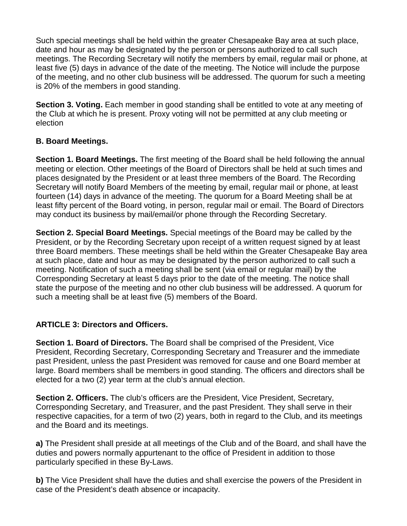Such special meetings shall be held within the greater Chesapeake Bay area at such place, date and hour as may be designated by the person or persons authorized to call such meetings. The Recording Secretary will notify the members by email, regular mail or phone, at least five (5) days in advance of the date of the meeting. The Notice will include the purpose of the meeting, and no other club business will be addressed. The quorum for such a meeting is 20% of the members in good standing.

**Section 3. Voting.** Each member in good standing shall be entitled to vote at any meeting of the Club at which he is present. Proxy voting will not be permitted at any club meeting or election

## **B. Board Meetings.**

**Section 1. Board Meetings.** The first meeting of the Board shall be held following the annual meeting or election. Other meetings of the Board of Directors shall be held at such times and places designated by the President or at least three members of the Board. The Recording Secretary will notify Board Members of the meeting by email, regular mail or phone, at least fourteen (14) days in advance of the meeting. The quorum for a Board Meeting shall be at least fifty percent of the Board voting, in person, regular mail or email. The Board of Directors may conduct its business by mail/email/or phone through the Recording Secretary.

**Section 2. Special Board Meetings.** Special meetings of the Board may be called by the President, or by the Recording Secretary upon receipt of a written request signed by at least three Board members. These meetings shall be held within the Greater Chesapeake Bay area at such place, date and hour as may be designated by the person authorized to call such a meeting. Notification of such a meeting shall be sent (via email or regular mail) by the Corresponding Secretary at least 5 days prior to the date of the meeting. The notice shall state the purpose of the meeting and no other club business will be addressed. A quorum for such a meeting shall be at least five (5) members of the Board.

## **ARTICLE 3: Directors and Officers.**

**Section 1. Board of Directors.** The Board shall be comprised of the President, Vice President, Recording Secretary, Corresponding Secretary and Treasurer and the immediate past President, unless the past President was removed for cause and one Board member at large. Board members shall be members in good standing. The officers and directors shall be elected for a two (2) year term at the club's annual election.

**Section 2. Officers.** The club's officers are the President, Vice President, Secretary, Corresponding Secretary, and Treasurer, and the past President. They shall serve in their respective capacities, for a term of two (2) years, both in regard to the Club, and its meetings and the Board and its meetings.

**a)** The President shall preside at all meetings of the Club and of the Board, and shall have the duties and powers normally appurtenant to the office of President in addition to those particularly specified in these By-Laws.

**b)** The Vice President shall have the duties and shall exercise the powers of the President in case of the President's death absence or incapacity.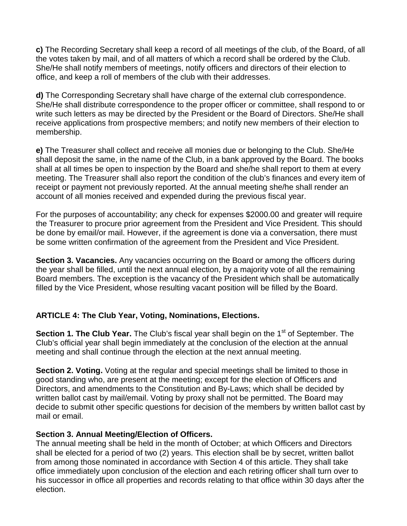**c)** The Recording Secretary shall keep a record of all meetings of the club, of the Board, of all the votes taken by mail, and of all matters of which a record shall be ordered by the Club. She/He shall notify members of meetings, notify officers and directors of their election to office, and keep a roll of members of the club with their addresses.

**d)** The Corresponding Secretary shall have charge of the external club correspondence. She/He shall distribute correspondence to the proper officer or committee, shall respond to or write such letters as may be directed by the President or the Board of Directors. She/He shall receive applications from prospective members; and notify new members of their election to membership.

**e)** The Treasurer shall collect and receive all monies due or belonging to the Club. She/He shall deposit the same, in the name of the Club, in a bank approved by the Board. The books shall at all times be open to inspection by the Board and she/he shall report to them at every meeting. The Treasurer shall also report the condition of the club's finances and every item of receipt or payment not previously reported. At the annual meeting she/he shall render an account of all monies received and expended during the previous fiscal year.

For the purposes of accountability; any check for expenses \$2000.00 and greater will require the Treasurer to procure prior agreement from the President and Vice President. This should be done by email/or mail. However, if the agreement is done via a conversation, there must be some written confirmation of the agreement from the President and Vice President.

**Section 3. Vacancies.** Any vacancies occurring on the Board or among the officers during the year shall be filled, until the next annual election, by a majority vote of all the remaining Board members. The exception is the vacancy of the President which shall be automatically filled by the Vice President, whose resulting vacant position will be filled by the Board.

## **ARTICLE 4: The Club Year, Voting, Nominations, Elections.**

**Section 1. The Club Year.** The Club's fiscal year shall begin on the 1<sup>st</sup> of September. The Club's official year shall begin immediately at the conclusion of the election at the annual meeting and shall continue through the election at the next annual meeting.

**Section 2. Voting.** Voting at the regular and special meetings shall be limited to those in good standing who, are present at the meeting; except for the election of Officers and Directors, and amendments to the Constitution and By-Laws; which shall be decided by written ballot cast by mail/email. Voting by proxy shall not be permitted. The Board may decide to submit other specific questions for decision of the members by written ballot cast by mail or email.

## **Section 3. Annual Meeting/Election of Officers.**

The annual meeting shall be held in the month of October; at which Officers and Directors shall be elected for a period of two (2) years. This election shall be by secret, written ballot from among those nominated in accordance with Section 4 of this article. They shall take office immediately upon conclusion of the election and each retiring officer shall turn over to his successor in office all properties and records relating to that office within 30 days after the election.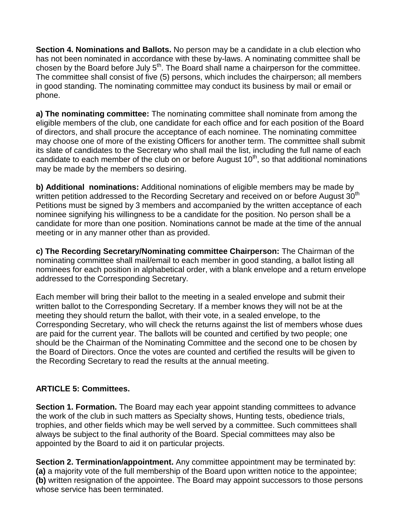**Section 4. Nominations and Ballots.** No person may be a candidate in a club election who has not been nominated in accordance with these by-laws. A nominating committee shall be chosen by the Board before July  $5<sup>th</sup>$ . The Board shall name a chairperson for the committee. The committee shall consist of five (5) persons, which includes the chairperson; all members in good standing. The nominating committee may conduct its business by mail or email or phone.

**a) The nominating committee:** The nominating committee shall nominate from among the eligible members of the club, one candidate for each office and for each position of the Board of directors, and shall procure the acceptance of each nominee. The nominating committee may choose one of more of the existing Officers for another term. The committee shall submit its slate of candidates to the Secretary who shall mail the list, including the full name of each candidate to each member of the club on or before August  $10<sup>th</sup>$ , so that additional nominations may be made by the members so desiring.

**b) Additional nominations:** Additional nominations of eligible members may be made by written petition addressed to the Recording Secretary and received on or before August 30<sup>th</sup> Petitions must be signed by 3 members and accompanied by the written acceptance of each nominee signifying his willingness to be a candidate for the position. No person shall be a candidate for more than one position. Nominations cannot be made at the time of the annual meeting or in any manner other than as provided.

**c) The Recording Secretary/Nominating committee Chairperson:** The Chairman of the nominating committee shall mail/email to each member in good standing, a ballot listing all nominees for each position in alphabetical order, with a blank envelope and a return envelope addressed to the Corresponding Secretary.

Each member will bring their ballot to the meeting in a sealed envelope and submit their written ballot to the Corresponding Secretary. If a member knows they will not be at the meeting they should return the ballot, with their vote, in a sealed envelope, to the Corresponding Secretary, who will check the returns against the list of members whose dues are paid for the current year. The ballots will be counted and certified by two people; one should be the Chairman of the Nominating Committee and the second one to be chosen by the Board of Directors. Once the votes are counted and certified the results will be given to the Recording Secretary to read the results at the annual meeting.

## **ARTICLE 5: Committees.**

**Section 1. Formation.** The Board may each year appoint standing committees to advance the work of the club in such matters as Specialty shows, Hunting tests, obedience trials, trophies, and other fields which may be well served by a committee. Such committees shall always be subject to the final authority of the Board. Special committees may also be appointed by the Board to aid it on particular projects.

**Section 2. Termination/appointment.** Any committee appointment may be terminated by: **(a)** a majority vote of the full membership of the Board upon written notice to the appointee; **(b)** written resignation of the appointee. The Board may appoint successors to those persons whose service has been terminated.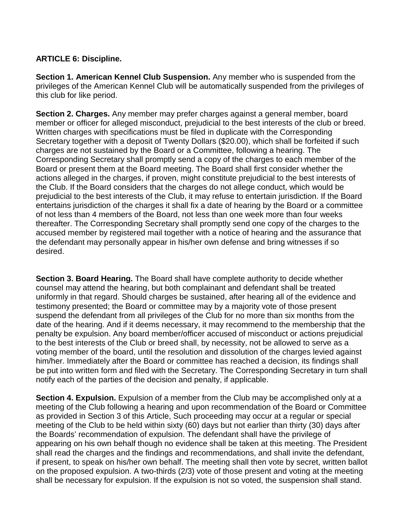## **ARTICLE 6: Discipline.**

**Section 1. American Kennel Club Suspension.** Any member who is suspended from the privileges of the American Kennel Club will be automatically suspended from the privileges of this club for like period.

**Section 2. Charges.** Any member may prefer charges against a general member, board member or officer for alleged misconduct, prejudicial to the best interests of the club or breed. Written charges with specifications must be filed in duplicate with the Corresponding Secretary together with a deposit of Twenty Dollars (\$20.00), which shall be forfeited if such charges are not sustained by the Board or a Committee, following a hearing. The Corresponding Secretary shall promptly send a copy of the charges to each member of the Board or present them at the Board meeting. The Board shall first consider whether the actions alleged in the charges, if proven, might constitute prejudicial to the best interests of the Club. If the Board considers that the charges do not allege conduct, which would be prejudicial to the best interests of the Club, it may refuse to entertain jurisdiction. If the Board entertains jurisdiction of the charges it shall fix a date of hearing by the Board or a committee of not less than 4 members of the Board, not less than one week more than four weeks thereafter. The Corresponding Secretary shall promptly send one copy of the charges to the accused member by registered mail together with a notice of hearing and the assurance that the defendant may personally appear in his/her own defense and bring witnesses if so desired.

**Section 3. Board Hearing.** The Board shall have complete authority to decide whether counsel may attend the hearing, but both complainant and defendant shall be treated uniformly in that regard. Should charges be sustained, after hearing all of the evidence and testimony presented; the Board or committee may by a majority vote of those present suspend the defendant from all privileges of the Club for no more than six months from the date of the hearing. And if it deems necessary, it may recommend to the membership that the penalty be expulsion. Any board member/officer accused of misconduct or actions prejudicial to the best interests of the Club or breed shall, by necessity, not be allowed to serve as a voting member of the board, until the resolution and dissolution of the charges levied against him/her. Immediately after the Board or committee has reached a decision, its findings shall be put into written form and filed with the Secretary. The Corresponding Secretary in turn shall notify each of the parties of the decision and penalty, if applicable.

**Section 4. Expulsion.** Expulsion of a member from the Club may be accomplished only at a meeting of the Club following a hearing and upon recommendation of the Board or Committee as provided in Section 3 of this Article, Such proceeding may occur at a regular or special meeting of the Club to be held within sixty (60) days but not earlier than thirty (30) days after the Boards' recommendation of expulsion. The defendant shall have the privilege of appearing on his own behalf though no evidence shall be taken at this meeting. The President shall read the charges and the findings and recommendations, and shall invite the defendant, if present, to speak on his/her own behalf. The meeting shall then vote by secret, written ballot on the proposed expulsion. A two-thirds (2/3) vote of those present and voting at the meeting shall be necessary for expulsion. If the expulsion is not so voted, the suspension shall stand.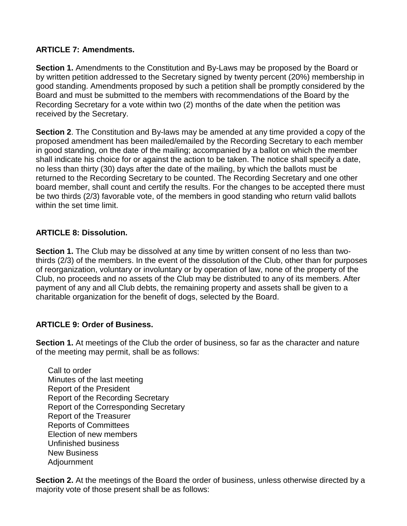### **ARTICLE 7: Amendments.**

**Section 1.** Amendments to the Constitution and By-Laws may be proposed by the Board or by written petition addressed to the Secretary signed by twenty percent (20%) membership in good standing. Amendments proposed by such a petition shall be promptly considered by the Board and must be submitted to the members with recommendations of the Board by the Recording Secretary for a vote within two (2) months of the date when the petition was received by the Secretary.

**Section 2**. The Constitution and By-laws may be amended at any time provided a copy of the proposed amendment has been mailed/emailed by the Recording Secretary to each member in good standing, on the date of the mailing; accompanied by a ballot on which the member shall indicate his choice for or against the action to be taken. The notice shall specify a date, no less than thirty (30) days after the date of the mailing, by which the ballots must be returned to the Recording Secretary to be counted. The Recording Secretary and one other board member, shall count and certify the results. For the changes to be accepted there must be two thirds (2/3) favorable vote, of the members in good standing who return valid ballots within the set time limit.

### **ARTICLE 8: Dissolution.**

**Section 1.** The Club may be dissolved at any time by written consent of no less than twothirds (2/3) of the members. In the event of the dissolution of the Club, other than for purposes of reorganization, voluntary or involuntary or by operation of law, none of the property of the Club, no proceeds and no assets of the Club may be distributed to any of its members. After payment of any and all Club debts, the remaining property and assets shall be given to a charitable organization for the benefit of dogs, selected by the Board.

## **ARTICLE 9: Order of Business.**

**Section 1.** At meetings of the Club the order of business, so far as the character and nature of the meeting may permit, shall be as follows:

Call to order Minutes of the last meeting Report of the President Report of the Recording Secretary Report of the Corresponding Secretary Report of the Treasurer Reports of Committees Election of new members Unfinished business New Business Adjournment

**Section 2.** At the meetings of the Board the order of business, unless otherwise directed by a majority vote of those present shall be as follows: